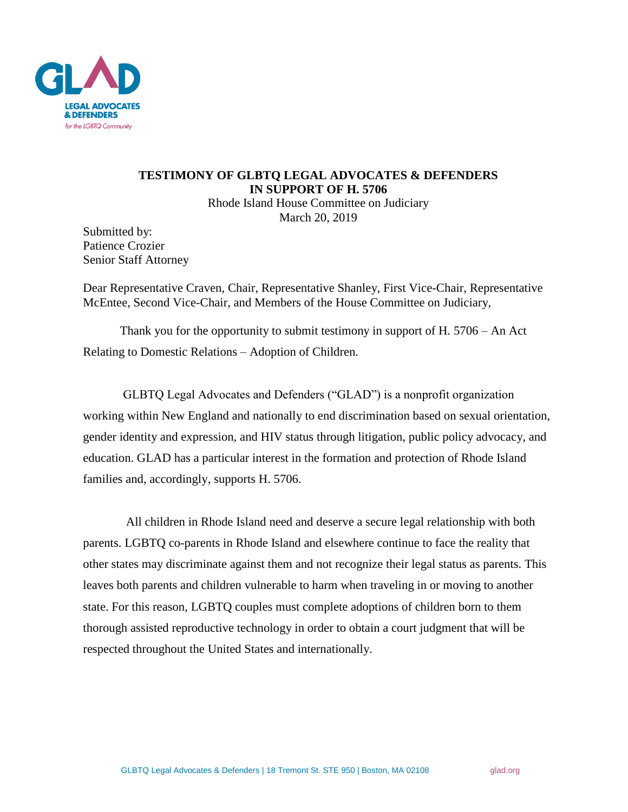

## **TESTIMONY OF GLBTQ LEGAL ADVOCATES & DEFENDERS IN SUPPORT OF H. 5706**

Rhode Island House Committee on Judiciary March 20, 2019

Submitted by: Patience Crozier Senior Staff Attorney

Dear Representative Craven, Chair, Representative Shanley, First Vice-Chair, Representative McEntee, Second Vice-Chair, and Members of the House Committee on Judiciary,

Thank you for the opportunity to submit testimony in support of H. 5706 – An Act Relating to Domestic Relations – Adoption of Children.

GLBTQ Legal Advocates and Defenders ("GLAD") is a nonprofit organization working within New England and nationally to end discrimination based on sexual orientation, gender identity and expression, and HIV status through litigation, public policy advocacy, and education. GLAD has a particular interest in the formation and protection of Rhode Island families and, accordingly, supports H. 5706.

 All children in Rhode Island need and deserve a secure legal relationship with both parents. LGBTQ co-parents in Rhode Island and elsewhere continue to face the reality that other states may discriminate against them and not recognize their legal status as parents. This leaves both parents and children vulnerable to harm when traveling in or moving to another state. For this reason, LGBTQ couples must complete adoptions of children born to them thorough assisted reproductive technology in order to obtain a court judgment that will be respected throughout the United States and internationally.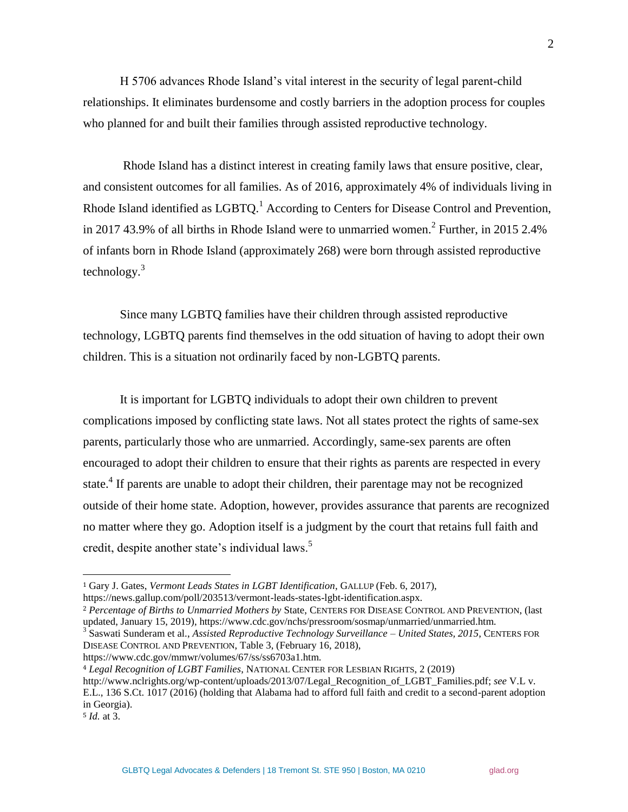H 5706 advances Rhode Island's vital interest in the security of legal parent-child relationships. It eliminates burdensome and costly barriers in the adoption process for couples who planned for and built their families through assisted reproductive technology.

Rhode Island has a distinct interest in creating family laws that ensure positive, clear, and consistent outcomes for all families. As of 2016, approximately 4% of individuals living in Rhode Island identified as  $LGBTQ$ <sup>1</sup>. According to Centers for Disease Control and Prevention, in 2017 43.9% of all births in Rhode Island were to unmarried women.<sup>2</sup> Further, in 2015 2.4% of infants born in Rhode Island (approximately 268) were born through assisted reproductive technology. $3$ 

Since many LGBTQ families have their children through assisted reproductive technology, LGBTQ parents find themselves in the odd situation of having to adopt their own children. This is a situation not ordinarily faced by non-LGBTQ parents.

It is important for LGBTQ individuals to adopt their own children to prevent complications imposed by conflicting state laws. Not all states protect the rights of same-sex parents, particularly those who are unmarried. Accordingly, same-sex parents are often encouraged to adopt their children to ensure that their rights as parents are respected in every state.<sup>4</sup> If parents are unable to adopt their children, their parentage may not be recognized outside of their home state. Adoption, however, provides assurance that parents are recognized no matter where they go. Adoption itself is a judgment by the court that retains full faith and credit, despite another state's individual laws.<sup>5</sup>

https://www.cdc.gov/mmwr/volumes/67/ss/ss6703a1.htm.

<sup>4</sup> *Legal Recognition of LGBT Families*, NATIONAL CENTER FOR LESBIAN RIGHTS, 2 (2019)

<sup>5</sup> *Id.* at 3.

 $\overline{a}$ 

<sup>1</sup> Gary J. Gates, *Vermont Leads States in LGBT Identification*, GALLUP (Feb. 6, 2017),

https://news.gallup.com/poll/203513/vermont-leads-states-lgbt-identification.aspx.

<sup>2</sup> *Percentage of Births to Unmarried Mothers by* State, CENTERS FOR DISEASE CONTROL AND PREVENTION, (last updated, January 15, 2019), https://www.cdc.gov/nchs/pressroom/sosmap/unmarried/unmarried.htm.

<sup>3</sup> Saswati Sunderam et al., *Assisted Reproductive Technology Surveillance – United States, 2015*, CENTERS FOR DISEASE CONTROL AND PREVENTION, Table 3, (February 16, 2018),

http://www.nclrights.org/wp-content/uploads/2013/07/Legal\_Recognition\_of\_LGBT\_Families.pdf; *see* V.L v. E.L., 136 S.Ct. 1017 (2016) (holding that Alabama had to afford full faith and credit to a second-parent adoption in Georgia).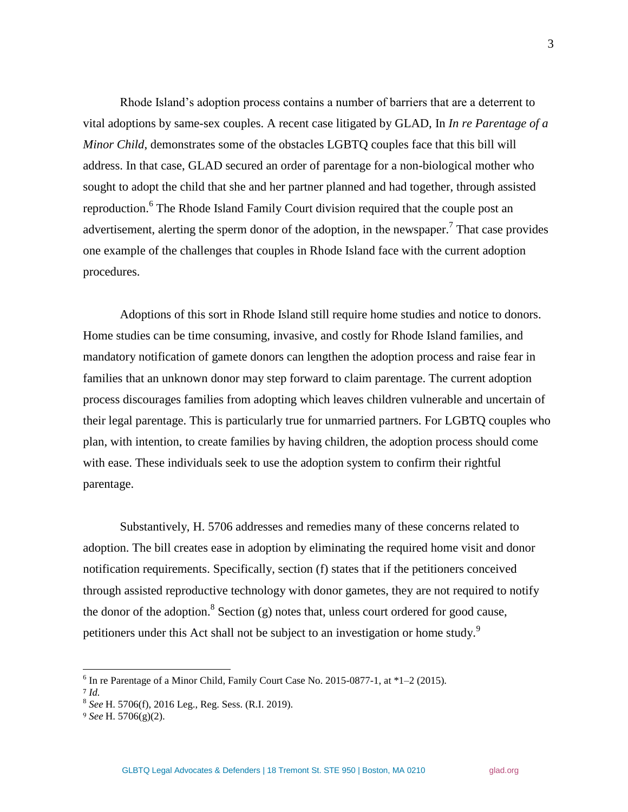Rhode Island's adoption process contains a number of barriers that are a deterrent to vital adoptions by same-sex couples. A recent case litigated by GLAD, In *In re Parentage of a Minor Child*, demonstrates some of the obstacles LGBTQ couples face that this bill will address. In that case, GLAD secured an order of parentage for a non-biological mother who sought to adopt the child that she and her partner planned and had together, through assisted reproduction.<sup>6</sup> The Rhode Island Family Court division required that the couple post an advertisement, alerting the sperm donor of the adoption, in the newspaper.<sup>7</sup> That case provides one example of the challenges that couples in Rhode Island face with the current adoption procedures.

Adoptions of this sort in Rhode Island still require home studies and notice to donors. Home studies can be time consuming, invasive, and costly for Rhode Island families, and mandatory notification of gamete donors can lengthen the adoption process and raise fear in families that an unknown donor may step forward to claim parentage. The current adoption process discourages families from adopting which leaves children vulnerable and uncertain of their legal parentage. This is particularly true for unmarried partners. For LGBTQ couples who plan, with intention, to create families by having children, the adoption process should come with ease. These individuals seek to use the adoption system to confirm their rightful parentage.

Substantively, H. 5706 addresses and remedies many of these concerns related to adoption. The bill creates ease in adoption by eliminating the required home visit and donor notification requirements. Specifically, section (f) states that if the petitioners conceived through assisted reproductive technology with donor gametes, they are not required to notify the donor of the adoption.<sup>8</sup> Section (g) notes that, unless court ordered for good cause, petitioners under this Act shall not be subject to an investigation or home study.<sup>9</sup>

 $\overline{a}$ 

3

 $6$  In re Parentage of a Minor Child, Family Court Case No. 2015-0877-1, at  $*1-2$  (2015).

<sup>7</sup> *Id.* 

<sup>8</sup> *See* H. 5706(f), 2016 Leg., Reg. Sess. (R.I. 2019).

<sup>9</sup> *See* H. 5706(g)(2).